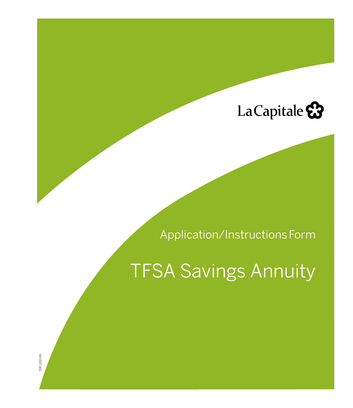# La Capitale &

# Application/Instructions Form

# TFSA Savings Annuity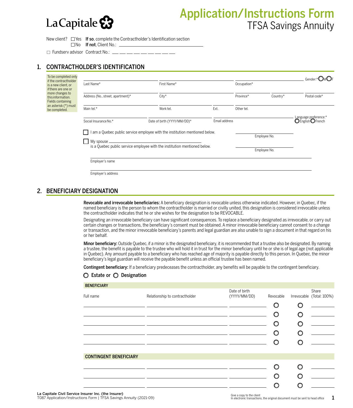# La Capitale  $\Omega$

# Application/Instructions Form TFSA Savings Annuity

New client?  $\Box$  Yes If so, complete the Contractholder's Identification section □No If not, Client No.: <u></u>

□ Fundserv advisor Contract No.: <u>\_\_</u> \_\_ \_\_

# 1. CONTRACTHOLDER'S IDENTIFICATION

| To be completed only<br>if the contractholder             |                                   |                                                                             |               |             |              | Gender:*OMOF                             |
|-----------------------------------------------------------|-----------------------------------|-----------------------------------------------------------------------------|---------------|-------------|--------------|------------------------------------------|
| is a new client, or<br>if there are one or                | Last Name*                        | First Name*                                                                 |               | Occupation* |              |                                          |
| more changes to<br>this information.<br>Fields containing | Address (No., street, apartment)* | $City*$                                                                     |               | Province*   | Country*     | Postal code*                             |
| an asterisk (*) must<br>be completed.                     | Main tel.*                        | Work tel.                                                                   | Ext.          | Other tel.  |              |                                          |
|                                                           | Social Insurance No.*             | Date of birth (YYYY/MM/DD)*                                                 | Email address |             |              | Language preference:*<br>OEnglishOFrench |
|                                                           |                                   | I am a Quebec public service employee with the institution mentioned below. |               |             |              |                                          |
|                                                           | My spouse _                       |                                                                             |               |             | Employee No. |                                          |
|                                                           |                                   | is a Quebec public service employee with the institution mentioned below.   |               |             | Employee No. |                                          |
|                                                           | Employer's name                   |                                                                             |               |             |              |                                          |
|                                                           | Employer's address                |                                                                             |               |             |              |                                          |

### 2. BENEFICIARY DESIGNATION

Revocable and irrevocable beneficiaries: A beneficiary designation is revocable unless otherwise indicated. However, in Quebec, if the named beneficiary is the person to whom the contractholder is married or civilly united, this designation is considered irrevocable unless the contractholder indicates that he or she wishes for the designation to be REVOCABLE.

Designating an irrevocable beneficiary can have significant consequences. To replace a beneficiary designated as irrevocable, or carry out certain changes or transactions, the beneficiary's consent must be obtained. A minor irrevocable beneficiary cannot consent to a change or transaction, and the minor irrevocable beneficiary's parents and legal guardian are also unable to sign a document in that regard on his or her behalf.

Minor beneficiary: Outside Quebec, if a minor is the designated beneficiary, it is recommended that a trustee also be designated. By naming a trustee, the benefit is payable to the trustee who will hold it in trust for the minor beneficiary until he or she is of legal age (not applicable in Quebec). Any amount payable to a beneficiary who has reached age of majority is payable directly to this person. In Quebec, the minor beneficiary's legal guardian will receive the payable benefit unless an official trustee has been named.

Contingent beneficiary: If a beneficiary predeceases the contractholder, any benefits will be payable to the contingent beneficiary.

| <b>BENEFICIARY</b>            |                                |               |           |                           |
|-------------------------------|--------------------------------|---------------|-----------|---------------------------|
|                               |                                | Date of birth |           | Share                     |
| Full name                     | Relationship to contractholder | (YYYY/MM/DD)  | Revocable | Irrevocable (Total: 100%) |
|                               |                                |               | O         |                           |
|                               |                                |               |           |                           |
|                               |                                |               |           |                           |
|                               |                                |               |           |                           |
|                               |                                |               |           |                           |
|                               |                                |               |           |                           |
| <b>CONTINGENT BENEFICIARY</b> |                                |               |           |                           |
|                               |                                |               |           |                           |
|                               |                                |               |           |                           |
|                               |                                |               |           |                           |

#### $\bigcirc$  Estate or  $\bigcirc$  Designation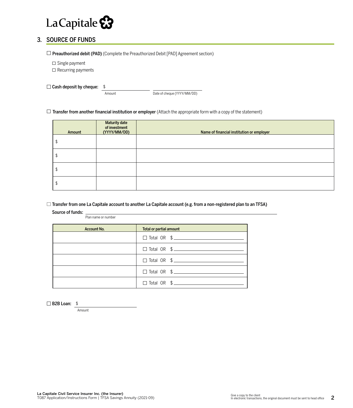

## 3. SOURCE OF FUNDS

 $\Box$  Preauthorized debit (PAD) (Complete the Preauthorized Debit [PAD] Agreement section)

 $\square$  Single payment

 $\square$  Recurring payments

 $\Box$  Cash deposit by cheque: \$

Amount Date of cheque (YYYY/MM/DD)

 $\Box$  Transfer from another financial institution or employer (Attach the appropriate form with a copy of the statement)

| Amount | <b>Maturity date</b><br>of investment<br>(YYYY/MM/DD) | Name of financial institution or employer |
|--------|-------------------------------------------------------|-------------------------------------------|
|        |                                                       |                                           |
|        |                                                       |                                           |
|        |                                                       |                                           |
|        |                                                       |                                           |

 $\Box$  Transfer from one La Capitale account to another La Capitale account (e.g. from a non-registered plan to an TFSA)

Source of funds:

Plan name or number

| <b>Account No.</b> | Total or partial amount         |
|--------------------|---------------------------------|
|                    | $\Box$ Total OR $\quad$ $\quad$ |
|                    | $\Box$ Total OR $\quad \$       |
|                    | $\Box$ Total OR $\quad$ $\quad$ |
|                    | $\Box$ Total OR $\quad$ $\quad$ |
|                    |                                 |

B2B Loan: \$

Amount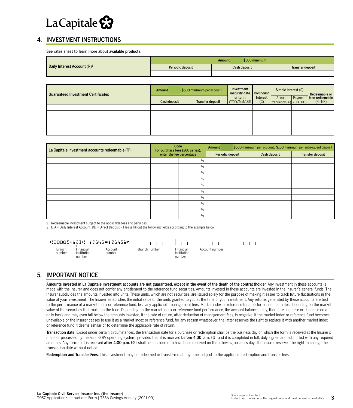# La Capitale &

## 4. INVESTMENT INSTRUCTIONS

See rates sheet to learn more about available products.

|                                |                  | \$500 minimum<br>Amount |                  |
|--------------------------------|------------------|-------------------------|------------------|
| Daily Interest Account $(R)^1$ | Periodic deposit | Cash deposit            | Transfer deposit |
|                                |                  |                         |                  |

| <b>Guaranteed Investment Certificates</b> | <b>Amount</b> | \$500 minimum per account | Investment<br>maturity date Compound |                 | Simple Interest $(S)$             |  |                                                                                                                                                                                     |
|-------------------------------------------|---------------|---------------------------|--------------------------------------|-----------------|-----------------------------------|--|-------------------------------------------------------------------------------------------------------------------------------------------------------------------------------------|
|                                           | Cash deposit  | Transfer deposit          | or term<br>(YYYY/MM/DD)              | Interest<br>(C) | Annual<br>frequency (A) (DIA, DD) |  | $\begin{tabular}{ l l } \hline \multicolumn{1}{ l }{Redeenable or}\\ \hline \multicolumn{1}{ l }{Payment}^2 & \textbf{Non-redeenable}\\ (DIA, DD) & (R,1)RP\\ \hline \end{tabular}$ |
|                                           |               |                           |                                      |                 |                                   |  |                                                                                                                                                                                     |
|                                           |               |                           |                                      |                 |                                   |  |                                                                                                                                                                                     |
|                                           |               |                           |                                      |                 |                                   |  |                                                                                                                                                                                     |
|                                           |               |                           |                                      |                 |                                   |  |                                                                                                                                                                                     |
|                                           |               |                           |                                      |                 |                                   |  |                                                                                                                                                                                     |

| La Capitale investment accounts redeemable (R) <sup>1</sup> | Code<br>For purchase fees (200 series), | Amount |                  | \$500 minimum per account, \$100 minimum per subsequent deposit |                         |
|-------------------------------------------------------------|-----------------------------------------|--------|------------------|-----------------------------------------------------------------|-------------------------|
|                                                             | enter the fee percentage                |        | Periodic deposit | Cash deposit                                                    | <b>Transfer deposit</b> |
|                                                             | $\frac{0}{0}$                           |        |                  |                                                                 |                         |
|                                                             | $\%$                                    |        |                  |                                                                 |                         |
|                                                             | $\%$                                    |        |                  |                                                                 |                         |
|                                                             | $\frac{0}{0}$                           |        |                  |                                                                 |                         |
|                                                             | $\%$                                    |        |                  |                                                                 |                         |
|                                                             | $\%$                                    |        |                  |                                                                 |                         |
|                                                             | $\frac{0}{0}$                           |        |                  |                                                                 |                         |
|                                                             | $\%$                                    |        |                  |                                                                 |                         |
|                                                             | $\%$                                    |        |                  |                                                                 |                         |
|                                                             | %                                       |        |                  |                                                                 |                         |

1. Redeemable investment subject to the applicable fees and penalties

2. DIA = Daily Interest Account, DD = Direct Deposit – Please fill out the following fields according to the example below:

|                         |                                    | U:88889891: 1994591234568 |               |                                    |                |  |  |  |
|-------------------------|------------------------------------|---------------------------|---------------|------------------------------------|----------------|--|--|--|
| <b>Branch</b><br>number | Financial<br>institution<br>number | Account<br>number         | Branch number | Financial<br>institution<br>number | Account number |  |  |  |

#### 5. IMPORTANT NOTICE

Amounts invested in La Capitale investment accounts are not guaranteed, except in the event of the death of the contractholder. Any investment in these accounts is made with the Insurer and does not confer any entitlement to the reference fund securities. Amounts invested in these accounts are invested in the Insurer's general funds. The Insurer subdivides the amounts invested into units. These units, which are not securities, are issued solely for the purpose of making it easier to track future fluctuations in the value of your investment. The Insurer establishes the initial value of the units granted to you at the time of your investment. Any returns generated by these accounts are tied to the performance of a market index or reference fund, less any applicable management fees. Market index or reference fund performance fluctuates depending on the market value of the securities that make up the fund. Depending on the market index or reference fund performance, the account balances may, therefore, increase or decrease on a daily basis and may even fall below the amounts invested, if the rate of return, after deduction of management fees, is negative. If the market index or reference fund becomes unavailable or the Insurer ceases to use it as a market index or reference fund, for any reason whatsoever, the latter reserves the right to replace it with another market index or reference fund it deems similar or to determine the applicable rate of return.

Transaction date: Except under certain circumstances, the transaction date for a purchase or redemption shall be the business day on which the form is received at the Insurer's office or processed by the FundSERV operating system, provided that it is received before 4:00 p.m. EST and it is completed in full, duly signed and submitted with any required amounts. Any form that is received after 4:00 p.m. EST shall be considered to have been received on the following business day. The Insurer reserves the right to change the transaction date without notice.

Redemption and Transfer Fees: This investment may be redeemed or transferred at any time, subject to the applicable redemption and transfer fees.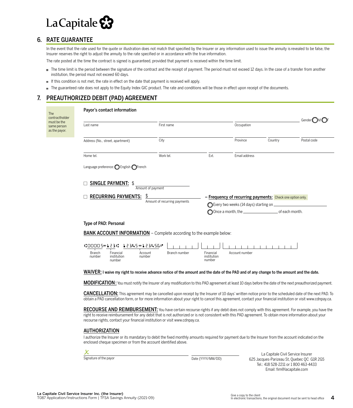

### 6. RATE GUARANTEE

In the event that the rate used for the quote or illustration does not match that specified by the Insurer or any information used to issue the annuity is revealed to be false, the Insurer reserves the right to adjust the annuity to the rate specified or in accordance with the true information.

The rate posted at the time the contract is signed is guaranteed, provided that payment is received within the time limit.

- The time limit is the period between the signature of the contract and the receipt of payment. The period must not exceed 12 days. In the case of a transfer from another institution, the period must not exceed 60 days.
- If this condition is not met, the rate in effect on the date that payment is received will apply.
- The guaranteed rate does not apply to the Equity Index GIC product. The rate and conditions will be those in effect upon receipt of the documents.

### 7. PREAUTHORIZED DEBIT (PAD) AGREEMENT

| The                                                           | Payor's contact information                                                                                                                                                                                                                                                                                                  |                                    |                                                                                                               |                                                                |         |             |  |
|---------------------------------------------------------------|------------------------------------------------------------------------------------------------------------------------------------------------------------------------------------------------------------------------------------------------------------------------------------------------------------------------------|------------------------------------|---------------------------------------------------------------------------------------------------------------|----------------------------------------------------------------|---------|-------------|--|
| contractholder<br>must be the<br>same person<br>as the payor. | Last name                                                                                                                                                                                                                                                                                                                    | First name                         |                                                                                                               | Occupation                                                     |         | Gender      |  |
|                                                               | Address (No., street, apartment)                                                                                                                                                                                                                                                                                             | City                               |                                                                                                               | Province                                                       | Country | Postal code |  |
|                                                               | Home tel.                                                                                                                                                                                                                                                                                                                    | Work tel.                          | Ext.                                                                                                          | Email address                                                  |         |             |  |
|                                                               | Language preference: $\bigcirc$ English $\bigcirc$ French                                                                                                                                                                                                                                                                    |                                    |                                                                                                               |                                                                |         |             |  |
|                                                               | <b>SINGLE PAYMENT: \$</b>                                                                                                                                                                                                                                                                                                    | Amount of payment                  |                                                                                                               |                                                                |         |             |  |
|                                                               | <b>RECURRING PAYMENTS:</b>                                                                                                                                                                                                                                                                                                   | \$<br>Amount of recurring payments | ◯ Every two weeks (14 days) starting on $\_\_$<br>Once a month, the __________________________ of each month. | <b>Frequency of recurring payments:</b> Check one option only. |         |             |  |
|                                                               | Type of PAD: Personal                                                                                                                                                                                                                                                                                                        |                                    |                                                                                                               |                                                                |         |             |  |
|                                                               | <b>BANK ACCOUNT INFORMATION</b> - Complete according to the example below:                                                                                                                                                                                                                                                   |                                    |                                                                                                               |                                                                |         |             |  |
|                                                               | "00005"123" 12345"123456"<br><b>Branch</b><br>Financial<br>institution<br>number<br>number<br>number                                                                                                                                                                                                                         | Branch number<br>Account           | Financial<br>institution<br>number                                                                            | Account number                                                 |         |             |  |
|                                                               | WAIVER: I waive my right to receive advance notice of the amount and the date of the PAD and of any change to the amount and the date.                                                                                                                                                                                       |                                    |                                                                                                               |                                                                |         |             |  |
|                                                               | MODIFICATION: You must notify the Insurer of any modification to this PAD agreement at least 10 days before the date of the next preauthorized payment.                                                                                                                                                                      |                                    |                                                                                                               |                                                                |         |             |  |
|                                                               | <b>CANCELLATION:</b> This agreement may be cancelled upon receipt by the Insurer of 10 days' written notice prior to the scheduled date of the next PAD. To<br>obtain a PAD cancellation form, or for more information about your right to cancel this agreement, contact your financial institution or visit www.cdnpay.ca. |                                    |                                                                                                               |                                                                |         |             |  |
|                                                               | RECOURSE AND REIMBURSEMENT: You have certain recourse rights if any debit does not comply with this agreement. For example, you have the                                                                                                                                                                                     |                                    |                                                                                                               |                                                                |         |             |  |

right to receive reimbursement for any debit that is not authorized or is not consistent with this PAD agreement. To obtain more information about your recourse rights, contact your financial institution or visit www.cdnpay.ca.

#### AUTHORIZATION

I authorize the Insurer or its mandatary to debit the fixed monthly amounts required for payment due to the Insurer from the account indicated on the enclosed cheque specimen or from the account identified above.

**X**<br>Signature of the payor

Date (YYYY/MM/DD)

La Capitale Civil Service Insurer 625 Jacques-Parizeau St, Quebec QC G1R 2G5 Tel.: 418 528-2211 or 1 800 463-4433 Email: fim@lacapitale.com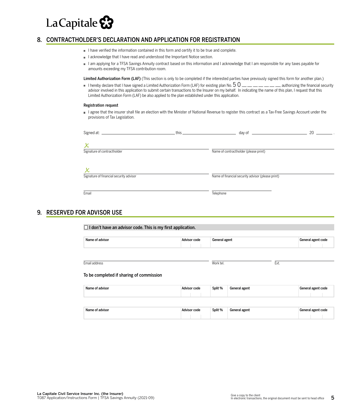

### 8. CONTRACTHOLDER'S DECLARATION AND APPLICATION FOR REGISTRATION

- I have verified the information contained in this form and certify it to be true and complete.
- I acknowledge that I have read and understood the Important Notice section.
- I am applying for a TFSA Savings Annuity contract based on this information and I acknowledge that I am responsible for any taxes payable for amounts exceeding my TFSA contribution room.

Limited Authorization Form (LAF) (This section is only to be completed if the interested parties have previously signed this form for another plan.)

 $\,$  I hereby declare that I have signed a Limited Authorization Form (LAF) for existing plan No.  $5$  O  $\_$   $\_$   $\_$   $\_$   $\_$   $\_$  authorizing the financial security advisor involved in this application to submit certain transactions to the Insurer on my behalf. In indicating the name of this plan, I request that this Limited Authorization Form (LAF) be also applied to the plan established under this application.

#### Registration request

I agree that the insurer shall file an election with the Minister of National Revenue to register this contract as a Tax-Free Savings Account under the provisions of Tax Legislation.

| Signed at: _<br><u> 1989 - Johann Stein, mars and de Brandenburg and de Brandenburg and de Brandenburg and de Brandenburg and de</u> | this $\overline{\phantom{a}}$ |                                                   | 20 |
|--------------------------------------------------------------------------------------------------------------------------------------|-------------------------------|---------------------------------------------------|----|
| Signature of contractholder                                                                                                          |                               | Name of contractholder (please print)             |    |
| Signature of financial security advisor                                                                                              |                               | Name of financial security advisor (please print) |    |
| Email                                                                                                                                |                               | Telephone                                         |    |

### 9. RESERVED FOR ADVISOR USE

| Name of advisor                                             | Advisor code | General agent            |      | General agent code |
|-------------------------------------------------------------|--------------|--------------------------|------|--------------------|
|                                                             |              |                          |      |                    |
| Email address                                               |              | Work tel.                | Ext. |                    |
|                                                             |              |                          |      |                    |
|                                                             |              |                          |      |                    |
| To be completed if sharing of commission<br>Name of advisor | Advisor code | Split %<br>General agent |      | General agent code |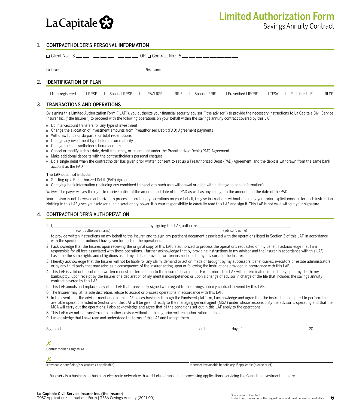

#### 1. CONTRACTHOLDER'S PERSONAL INFORMATION

|  | $\Box$ Client No.: 3 __ __ - __ __ __ - __ __ __ OR $\Box$ Contract No.: 5 __ __ __ __ __ __ __ __ __<br>Last name |  |  |            |  |                                                                                                                              |  |  |
|--|--------------------------------------------------------------------------------------------------------------------|--|--|------------|--|------------------------------------------------------------------------------------------------------------------------------|--|--|
|  |                                                                                                                    |  |  | First name |  |                                                                                                                              |  |  |
|  | 2. IDENTIFICATION OF PLAN                                                                                          |  |  |            |  |                                                                                                                              |  |  |
|  |                                                                                                                    |  |  |            |  | □ Non-registered □ RRSP □ Spousal RRSP □ LIRA/LRSP □ RRIF □ Spousal RRIF □ Prescribed LIF/RIF □ TFSA □ Restricted LIF □ RLSP |  |  |
|  |                                                                                                                    |  |  |            |  |                                                                                                                              |  |  |

#### 3. TRANSACTIONS AND OPERATIONS

By signing this Limited Authorization Form ("LAF"), you authorize your financial security advisor ("the advisor") to provide the necessary instructions to La Capitale Civil Service Insurer Inc. ("the Insurer") to proceed with the following operations on your behalf within the savings annuity contract covered by this LAF:

- Do inter-account transfers for any type of investment
- Change the allocation of investment amounts from Preauthorized Debit (PAD) Agreement payments
- Withdraw funds or do partial or total redemptions
- Change any investment type before or on maturity
- Change the contractholder's home address
- Cancel or modify a debit date, debit frequency, or an amount under the Preauthorized Debit (PAD) Agreement
- $\blacksquare$  Make additional deposits with the contractholder's personal cheques
- Do a single debit when the contractholder has given prior written consent to set up a Preauthorized Debit (PAD) Agreement, and the debit is withdrawn from the same bank account as the PAD

#### The LAF does not include:

- Starting up a Preauthorized Debit (PAD) Agreement
- Changing bank information (including any combined transactions such as a withdrawal or debit with a change to bank information)

Waiver: The payer waives the right to receive notice of the amount and date of the PAD as well as any change to the amount and the date of the PAD.

Your advisor is not, however, authorized to process discretionary operations on your behalf, i.e. give instructions without obtaining your prior explicit consent for each instruction. Nothing in this LAF gives your advisor such discretionary power. It is your responsibility to carefully read this LAF and sign it. This LAF is not valid without your signature.

#### 4. CONTRACTHOLDER'S AUTHORIZATION

| <b>.</b> |  | , by signing this LAF, authorize . |
|----------|--|------------------------------------|
|----------|--|------------------------------------|

(contractholder's name) (advisor's name)

- to provide written instructions on my behalf to the Insurer and to sign any pertinent document associated with the operations listed in Section 3 of this LAF, in accordance with the specific instructions I have given for each of the operations.
- 2. I acknowledge that the Insurer, upon receiving the original copy of this LAF, is authorized to process the operations requested on my behalf. I acknowledge that I am responsible for all fees associated with these operations. I further acknowledge that by providing instructions to my advisor and the Insurer in accordance with this LAF, I assume the same rights and obligations as if I myself had provided written instructions to my advisor and the Insurer.
- 3. I hereby acknowledge that the Insurer will not be liable for any claim, demand or action made or brought by my successors, beneficiaries, executors or estate administrators or by any third party that may arise as a consequence of the Insurer acting upon or following the instructions provided in accordance with this LAF.
- 4. This LAF is valid until I submit a written request for termination to the Insurer's head office. Furthermore, this LAF will be terminated immediately upon my death; my bankruptcy; upon receipt by the Insurer of a declaration of my mental incompetence; or upon a change of advisor in charge of the file that includes the savings annuity contract covered by this LAF.
- 5. This LAF annuls and replaces any other LAF that I previously signed with regard to the savings annuity contract covered by this LAF.
- 6. The Insurer may, at its sole discretion, refuse to accept or process operations in accordance with this LAF.
- 7. In the event that the advisor mentioned in this LAF places business through the Fundserv† platform, I acknowledge and agree that the instructions required to perform the available operations listed in Section 3 of this LAF will be given directly to the managing general agent (MGA) under whose responsibility the advisor is operating and that the MGA will carry out the operations. I also acknowledge and agree that all the conditions set out in this LAF apply to the operations.
- 8. This LAF may not be transferred to another advisor without obtaining prior written authorization to do so.
- 9. I acknowledge that I have read and understood the terms of this LAF and I accept them.

| Signed at                                           | on this                                                       | day of | 20 |
|-----------------------------------------------------|---------------------------------------------------------------|--------|----|
|                                                     |                                                               |        |    |
| Х                                                   |                                                               |        |    |
| Contractholder's signature                          |                                                               |        |    |
| Х                                                   |                                                               |        |    |
| Irrevocable beneficiary's signature (if applicable) | Name of irrevocable beneficiary, if applicable (please print) |        |    |

† Fundserv is a business-to-business electronic network with world-class transaction processing applications, servicing the Canadian investment industry.